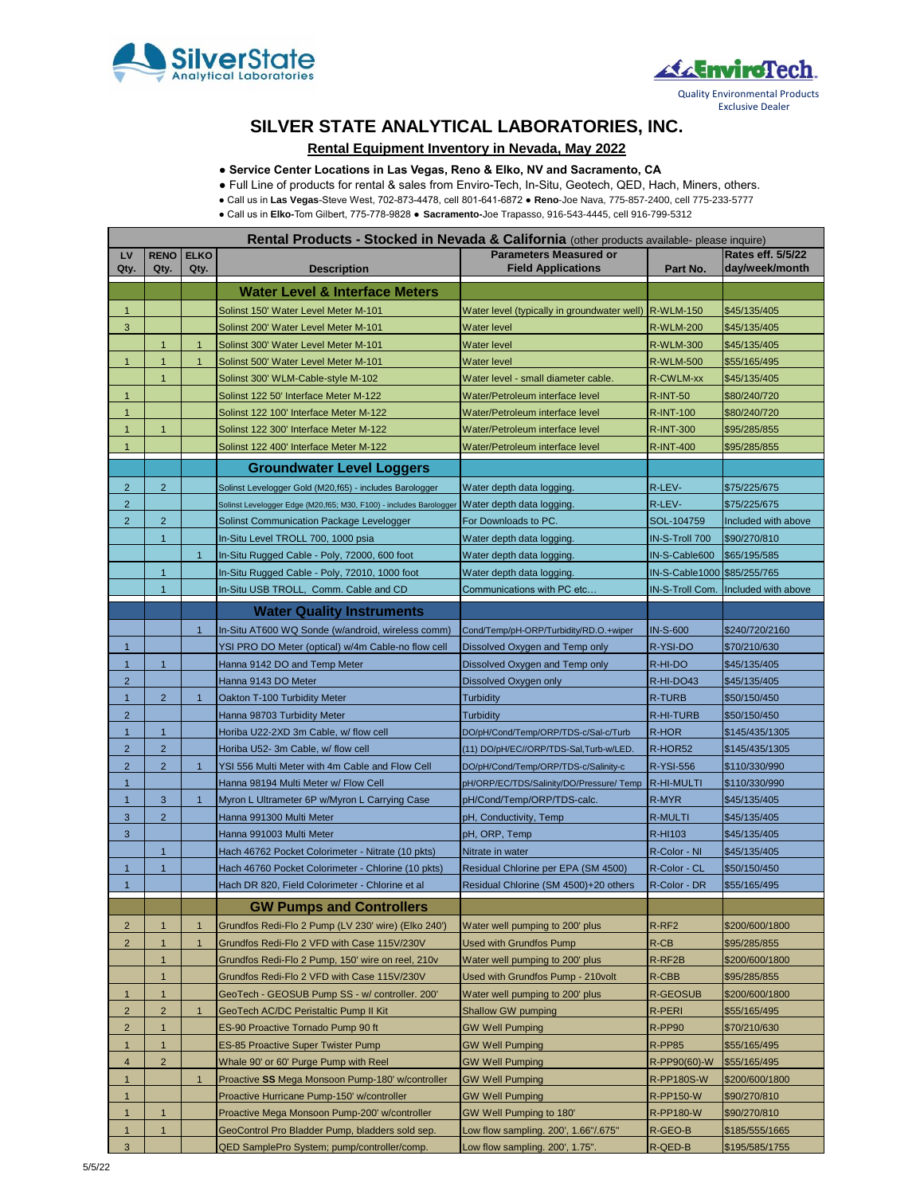



# **SILVER STATE ANALYTICAL LABORATORIES, INC.**

### **Rental Equipment Inventory in Nevada, May 2022**

**● Service Center Locations in Las Vegas, Reno & Elko, NV and Sacramento, CA**

● Full Line of products for rental & sales from Enviro-Tech, In-Situ, Geotech, QED, Hach, Miners, others.

● Call us in **Las Vegas**-Steve West, 702-873-4478, cell 801-641-6872 ● **Reno**-Joe Nava, 775-857-2400, cell 775-233-5777

● Call us in **Elko-**Tom Gilbert, 775-778-9828 ● **Sacramento-**Joe Trapasso, 916-543-4445, cell 916-799-5312

| Rental Products - Stocked in Nevada & California (other products available- please inquire) |                     |                     |                                                                    |                                                            |                             |                                     |  |  |  |
|---------------------------------------------------------------------------------------------|---------------------|---------------------|--------------------------------------------------------------------|------------------------------------------------------------|-----------------------------|-------------------------------------|--|--|--|
| LV<br>Qty.                                                                                  | <b>RENO</b><br>Qty. | <b>ELKO</b><br>Qty. | <b>Description</b>                                                 | <b>Parameters Measured or</b><br><b>Field Applications</b> | Part No.                    | Rates eff. 5/5/22<br>day/week/month |  |  |  |
|                                                                                             |                     |                     | Water Level & Interface Meters                                     |                                                            |                             |                                     |  |  |  |
| $\mathbf{1}$                                                                                |                     |                     | Solinst 150' Water Level Meter M-101                               | Water level (typically in groundwater well)                | <b>R-WLM-150</b>            | \$45/135/405                        |  |  |  |
| 3                                                                                           |                     |                     | Solinst 200' Water Level Meter M-101                               | <b>Water level</b>                                         | <b>R-WLM-200</b>            | \$45/135/405                        |  |  |  |
|                                                                                             | $\mathbf{1}$        | $\mathbf 1$         | Solinst 300' Water Level Meter M-101                               | Water level                                                | <b>R-WLM-300</b>            | \$45/135/405                        |  |  |  |
| 1                                                                                           | $\mathbf{1}$        | 1                   | Solinst 500' Water Level Meter M-101                               | Water level                                                | <b>R-WLM-500</b>            | \$55/165/495                        |  |  |  |
|                                                                                             | $\mathbf{1}$        |                     | Solinst 300' WLM-Cable-style M-102                                 | Water level - small diameter cable.                        | R-CWLM-xx                   | \$45/135/405                        |  |  |  |
| $\mathbf{1}$                                                                                |                     |                     | Solinst 122 50' Interface Meter M-122                              | Water/Petroleum interface level                            | <b>R-INT-50</b>             | \$80/240/720                        |  |  |  |
| $\mathbf{1}$                                                                                |                     |                     | Solinst 122 100' Interface Meter M-122                             | Water/Petroleum interface level                            | <b>R-INT-100</b>            | \$80/240/720                        |  |  |  |
| $\mathbf{1}$                                                                                | $\mathbf{1}$        |                     | Solinst 122 300' Interface Meter M-122                             | Water/Petroleum interface level                            | <b>R-INT-300</b>            | \$95/285/855                        |  |  |  |
| $\mathbf{1}$                                                                                |                     |                     | Solinst 122 400' Interface Meter M-122                             | Water/Petroleum interface level                            | <b>R-INT-400</b>            | \$95/285/855                        |  |  |  |
|                                                                                             |                     |                     | <b>Groundwater Level Loggers</b>                                   |                                                            |                             |                                     |  |  |  |
| $\overline{2}$                                                                              | $\overline{2}$      |                     | Solinst Levelogger Gold (M20,f65) - includes Barologger            | Water depth data logging.                                  | R-LEV-                      | \$75/225/675                        |  |  |  |
| $\overline{2}$                                                                              |                     |                     | Solinst Levelogger Edge (M20,f65; M30, F100) - includes Barologger | Water depth data logging.                                  | R-LEV-                      | \$75/225/675                        |  |  |  |
| $\overline{2}$                                                                              | $\overline{2}$      |                     | Solinst Communication Package Levelogger                           | For Downloads to PC.                                       | SOL-104759                  | Included with above                 |  |  |  |
|                                                                                             | $\mathbf{1}$        |                     | In-Situ Level TROLL 700, 1000 psia                                 | Water depth data logging.                                  | IN-S-Troll 700              | \$90/270/810                        |  |  |  |
|                                                                                             |                     | $\mathbf{1}$        | In-Situ Rugged Cable - Poly, 72000, 600 foot                       | Water depth data logging.                                  | IN-S-Cable600               | \$65/195/585                        |  |  |  |
|                                                                                             | $\mathbf{1}$        |                     | In-Situ Rugged Cable - Poly, 72010, 1000 foot                      | Water depth data logging.                                  | IN-S-Cable1000 \$85/255/765 |                                     |  |  |  |
|                                                                                             | $\mathbf{1}$        |                     | In-Situ USB TROLL, Comm. Cable and CD                              | Communications with PC etc                                 | IN-S-Troll Com.             | Included with above                 |  |  |  |
|                                                                                             |                     |                     |                                                                    |                                                            |                             |                                     |  |  |  |
|                                                                                             |                     |                     | <b>Water Quality Instruments</b>                                   |                                                            |                             |                                     |  |  |  |
|                                                                                             |                     | $\overline{1}$      | In-Situ AT600 WQ Sonde (w/android, wireless comm)                  | Cond/Temp/pH-ORP/Turbidity/RD.O.+wiper                     | <b>IN-S-600</b>             | \$240/720/2160                      |  |  |  |
| $\mathbf{1}$                                                                                |                     |                     | YSI PRO DO Meter (optical) w/4m Cable-no flow cell                 | Dissolved Oxygen and Temp only                             | R-YSI-DO                    | \$70/210/630                        |  |  |  |
| $\mathbf{1}$                                                                                | $\mathbf{1}$        |                     | Hanna 9142 DO and Temp Meter                                       | Dissolved Oxygen and Temp only                             | R-HI-DO                     | \$45/135/405                        |  |  |  |
| $\overline{2}$                                                                              |                     |                     | Hanna 9143 DO Meter                                                | Dissolved Oxygen only                                      | R-HI-DO43                   | \$45/135/405                        |  |  |  |
| $\mathbf{1}$                                                                                | $\overline{2}$      | $\overline{1}$      | Oakton T-100 Turbidity Meter                                       | <b>Turbidity</b>                                           | <b>R-TURB</b>               | \$50/150/450                        |  |  |  |
| $\overline{2}$                                                                              |                     |                     | Hanna 98703 Turbidity Meter                                        | <b>Turbidity</b>                                           | R-HI-TURB                   | \$50/150/450                        |  |  |  |
| $\mathbf{1}$                                                                                | $\mathbf{1}$        |                     | Horiba U22-2XD 3m Cable, w/ flow cell                              | DO/pH/Cond/Temp/ORP/TDS-c/Sal-c/Turb                       | R-HOR                       | \$145/435/1305                      |  |  |  |
| $\overline{2}$                                                                              | $\overline{2}$      |                     | Horiba U52- 3m Cable, w/ flow cell                                 | (11) DO/pH/EC//ORP/TDS-Sal,Turb-w/LED.                     | R-HOR52                     | \$145/435/1305                      |  |  |  |
| $\overline{2}$                                                                              | $\overline{2}$      | $\overline{1}$      | YSI 556 Multi Meter with 4m Cable and Flow Cell                    | DO/pH/Cond/Temp/ORP/TDS-c/Salinity-c                       | <b>R-YSI-556</b>            | \$110/330/990                       |  |  |  |
| $\mathbf{1}$                                                                                |                     |                     | Hanna 98194 Multi Meter w/ Flow Cell                               | pH/ORP/EC/TDS/Salinity/DO/Pressure/ Temp                   | R-HI-MULTI                  | \$110/330/990                       |  |  |  |
| $\mathbf{1}$                                                                                | 3                   | $\overline{1}$      | Myron L Ultrameter 6P w/Myron L Carrying Case                      | pH/Cond/Temp/ORP/TDS-calc.                                 | R-MYR                       | \$45/135/405                        |  |  |  |
| 3                                                                                           | $\overline{2}$      |                     | Hanna 991300 Multi Meter                                           | pH, Conductivity, Temp                                     | R-MULTI                     | \$45/135/405                        |  |  |  |
| 3                                                                                           |                     |                     | Hanna 991003 Multi Meter                                           | pH, ORP, Temp                                              | R-HI103                     | \$45/135/405                        |  |  |  |
|                                                                                             | $\mathbf{1}$        |                     | Hach 46762 Pocket Colorimeter - Nitrate (10 pkts)                  | Nitrate in water                                           | R-Color - NI                | \$45/135/405                        |  |  |  |
| $\mathbf{1}$                                                                                | $\mathbf{1}$        |                     | Hach 46760 Pocket Colorimeter - Chlorine (10 pkts)                 | Residual Chlorine per EPA (SM 4500)                        | R-Color - CL                | \$50/150/450                        |  |  |  |
| $\mathbf{1}$                                                                                |                     |                     | Hach DR 820, Field Colorimeter - Chlorine et al                    | Residual Chlorine (SM 4500)+20 others                      | R-Color - DR                | \$55/165/495                        |  |  |  |
|                                                                                             |                     |                     | <b>GW Pumps and Controllers</b>                                    |                                                            |                             |                                     |  |  |  |
| $\overline{2}$                                                                              | $\mathbf{1}$        | $\mathbf{1}$        | Grundfos Redi-Flo 2 Pump (LV 230' wire) (Elko 240')                | Water well pumping to 200' plus                            | R-RF2                       | \$200/600/1800                      |  |  |  |
| $\overline{c}$                                                                              | $\mathbf{1}$        | 1                   | Grundfos Redi-Flo 2 VFD with Case 115V/230V                        | <b>Used with Grundfos Pump</b>                             | $R$ -CB                     | \$95/285/855                        |  |  |  |
|                                                                                             | $\mathbf{1}$        |                     | Grundfos Redi-Flo 2 Pump, 150' wire on reel, 210v                  | Water well pumping to 200' plus                            | R-RF2B                      | \$200/600/1800                      |  |  |  |
|                                                                                             | 1                   |                     | Grundfos Redi-Flo 2 VFD with Case 115V/230V                        | Used with Grundfos Pump - 210volt                          | R-CBB                       | \$95/285/855                        |  |  |  |
| $\mathbf{1}$                                                                                | $\mathbf{1}$        |                     | GeoTech - GEOSUB Pump SS - w/ controller. 200'                     | Water well pumping to 200' plus                            | <b>R-GEOSUB</b>             | \$200/600/1800                      |  |  |  |
| $\overline{c}$                                                                              | $\overline{2}$      | $\mathbf{1}$        | GeoTech AC/DC Peristaltic Pump II Kit                              | Shallow GW pumping                                         | R-PERI                      | \$55/165/495                        |  |  |  |
| $\overline{2}$                                                                              | $\mathbf{1}$        |                     | ES-90 Proactive Tornado Pump 90 ft                                 | <b>GW Well Pumping</b>                                     | R-PP90                      | \$70/210/630                        |  |  |  |
| $\mathbf{1}$                                                                                | $\mathbf{1}$        |                     | <b>ES-85 Proactive Super Twister Pump</b>                          | <b>GW Well Pumping</b>                                     | R-PP85                      | \$55/165/495                        |  |  |  |
| $\overline{4}$                                                                              | $\overline{2}$      |                     | Whale 90' or 60' Purge Pump with Reel                              | <b>GW Well Pumping</b>                                     | R-PP90(60)-W                | \$55/165/495                        |  |  |  |
| $\mathbf{1}$                                                                                |                     | $\mathbf{1}$        | Proactive SS Mega Monsoon Pump-180' w/controller                   | <b>GW Well Pumping</b>                                     | <b>R-PP180S-W</b>           | \$200/600/1800                      |  |  |  |
| $\mathbf{1}$                                                                                |                     |                     | Proactive Hurricane Pump-150' w/controller                         | <b>GW Well Pumping</b>                                     | R-PP150-W                   | \$90/270/810                        |  |  |  |
| $\mathbf{1}$                                                                                | $\mathbf{1}$        |                     | Proactive Mega Monsoon Pump-200' w/controller                      | GW Well Pumping to 180'                                    | <b>R-PP180-W</b>            | \$90/270/810                        |  |  |  |
| 1                                                                                           | 1                   |                     | GeoControl Pro Bladder Pump, bladders sold sep.                    | Low flow sampling. 200', 1.66"/.675"                       | R-GEO-B                     | \$185/555/1665                      |  |  |  |
| 3                                                                                           |                     |                     | QED SamplePro System; pump/controller/comp.                        | Low flow sampling. 200', 1.75".                            | R-QED-B                     | \$195/585/1755                      |  |  |  |